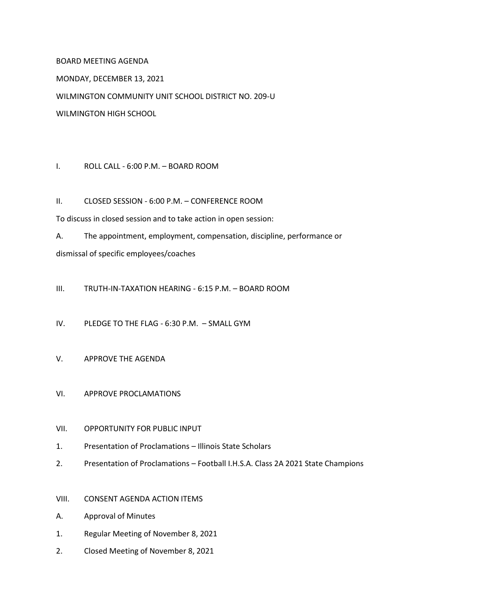## BOARD MEETING AGENDA

MONDAY, DECEMBER 13, 2021

WILMINGTON COMMUNITY UNIT SCHOOL DISTRICT NO. 209-U

WILMINGTON HIGH SCHOOL

## I. ROLL CALL - 6:00 P.M. – BOARD ROOM

II. CLOSED SESSION - 6:00 P.M. – CONFERENCE ROOM

To discuss in closed session and to take action in open session:

A. The appointment, employment, compensation, discipline, performance or dismissal of specific employees/coaches

III. TRUTH-IN-TAXATION HEARING - 6:15 P.M. – BOARD ROOM

IV. PLEDGE TO THE FLAG - 6:30 P.M. – SMALL GYM

## V. APPROVE THE AGENDA

- VI. APPROVE PROCLAMATIONS
- VII. OPPORTUNITY FOR PUBLIC INPUT
- 1. Presentation of Proclamations Illinois State Scholars
- 2. Presentation of Proclamations Football I.H.S.A. Class 2A 2021 State Champions
- VIII. CONSENT AGENDA ACTION ITEMS
- A. Approval of Minutes
- 1. Regular Meeting of November 8, 2021
- 2. Closed Meeting of November 8, 2021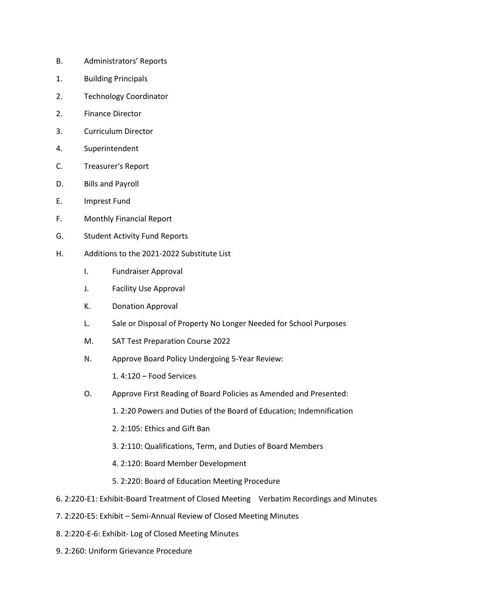- B. Administrators' Reports
- 1. Building Principals
- 2. Technology Coordinator
- 2. Finance Director
- 3. Curriculum Director
- 4. Superintendent
- C. Treasurer's Report
- D. Bills and Payroll
- E. Imprest Fund
- F. Monthly Financial Report
- G. Student Activity Fund Reports
- H. Additions to the 2021-2022 Substitute List
	- I. Fundraiser Approval
	- J. Facility Use Approval
	- K. Donation Approval
	- L. Sale or Disposal of Property No Longer Needed for School Purposes
	- M. SAT Test Preparation Course 2022
	- N. Approve Board Policy Undergoing 5-Year Review:

1. 4:120 – Food Services

- O. Approve First Reading of Board Policies as Amended and Presented:
	- 1. 2:20 Powers and Duties of the Board of Education; Indemnification
	- 2. 2:105: Ethics and Gift Ban
	- 3. 2:110: Qualifications, Term, and Duties of Board Members
	- 4. 2:120: Board Member Development
	- 5. 2:220: Board of Education Meeting Procedure
- 6. 2:220-E1: Exhibit-Board Treatment of Closed Meeting Verbatim Recordings and Minutes
- 7. 2:220-E5: Exhibit Semi-Annual Review of Closed Meeting Minutes
- 8. 2:220-E-6: Exhibit- Log of Closed Meeting Minutes
- 9. 2:260: Uniform Grievance Procedure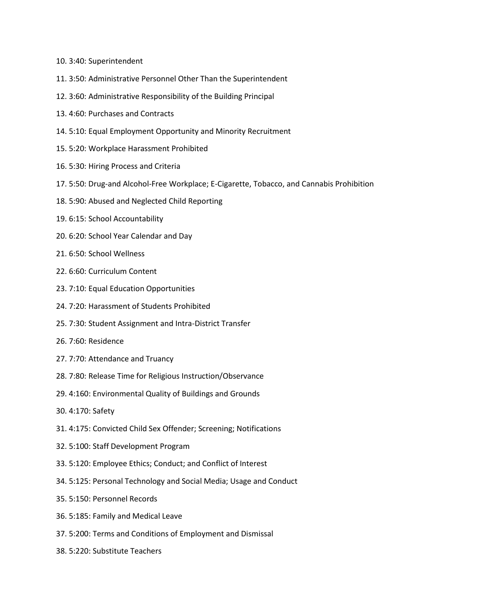- 10. 3:40: Superintendent
- 11. 3:50: Administrative Personnel Other Than the Superintendent
- 12. 3:60: Administrative Responsibility of the Building Principal
- 13. 4:60: Purchases and Contracts
- 14. 5:10: Equal Employment Opportunity and Minority Recruitment
- 15. 5:20: Workplace Harassment Prohibited
- 16. 5:30: Hiring Process and Criteria
- 17. 5:50: Drug-and Alcohol-Free Workplace; E-Cigarette, Tobacco, and Cannabis Prohibition
- 18. 5:90: Abused and Neglected Child Reporting
- 19. 6:15: School Accountability
- 20. 6:20: School Year Calendar and Day
- 21. 6:50: School Wellness
- 22. 6:60: Curriculum Content
- 23. 7:10: Equal Education Opportunities
- 24. 7:20: Harassment of Students Prohibited
- 25. 7:30: Student Assignment and Intra-District Transfer
- 26. 7:60: Residence
- 27. 7:70: Attendance and Truancy
- 28. 7:80: Release Time for Religious Instruction/Observance
- 29. 4:160: Environmental Quality of Buildings and Grounds
- 30. 4:170: Safety
- 31. 4:175: Convicted Child Sex Offender; Screening; Notifications
- 32. 5:100: Staff Development Program
- 33. 5:120: Employee Ethics; Conduct; and Conflict of Interest
- 34. 5:125: Personal Technology and Social Media; Usage and Conduct
- 35. 5:150: Personnel Records
- 36. 5:185: Family and Medical Leave
- 37. 5:200: Terms and Conditions of Employment and Dismissal
- 38. 5:220: Substitute Teachers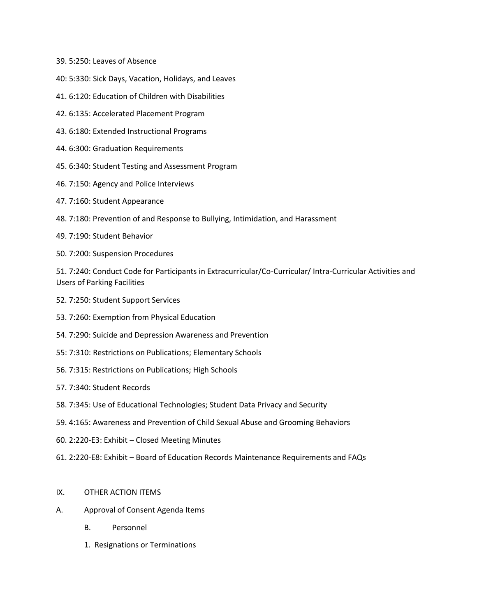- 39. 5:250: Leaves of Absence
- 40: 5:330: Sick Days, Vacation, Holidays, and Leaves
- 41. 6:120: Education of Children with Disabilities
- 42. 6:135: Accelerated Placement Program
- 43. 6:180: Extended Instructional Programs
- 44. 6:300: Graduation Requirements
- 45. 6:340: Student Testing and Assessment Program
- 46. 7:150: Agency and Police Interviews
- 47. 7:160: Student Appearance
- 48. 7:180: Prevention of and Response to Bullying, Intimidation, and Harassment
- 49. 7:190: Student Behavior
- 50. 7:200: Suspension Procedures

51. 7:240: Conduct Code for Participants in Extracurricular/Co-Curricular/ Intra-Curricular Activities and Users of Parking Facilities

- 52. 7:250: Student Support Services
- 53. 7:260: Exemption from Physical Education
- 54. 7:290: Suicide and Depression Awareness and Prevention
- 55: 7:310: Restrictions on Publications; Elementary Schools
- 56. 7:315: Restrictions on Publications; High Schools
- 57. 7:340: Student Records
- 58. 7:345: Use of Educational Technologies; Student Data Privacy and Security
- 59. 4:165: Awareness and Prevention of Child Sexual Abuse and Grooming Behaviors
- 60. 2:220-E3: Exhibit Closed Meeting Minutes
- 61. 2:220-E8: Exhibit Board of Education Records Maintenance Requirements and FAQs

## IX. OTHER ACTION ITEMS

- A. Approval of Consent Agenda Items
	- B. Personnel
	- 1. Resignations or Terminations